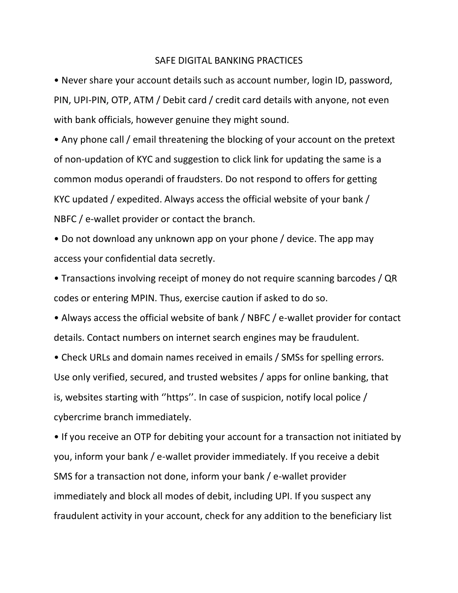## SAFE DIGITAL BANKING PRACTICES

• Never share your account details such as account number, login ID, password, PIN, UPI-PIN, OTP, ATM / Debit card / credit card details with anyone, not even with bank officials, however genuine they might sound.

• Any phone call / email threatening the blocking of your account on the pretext of non-updation of KYC and suggestion to click link for updating the same is a common modus operandi of fraudsters. Do not respond to offers for getting KYC updated / expedited. Always access the official website of your bank / NBFC / e-wallet provider or contact the branch.

• Do not download any unknown app on your phone / device. The app may access your confidential data secretly.

• Transactions involving receipt of money do not require scanning barcodes / QR codes or entering MPIN. Thus, exercise caution if asked to do so.

• Always access the official website of bank / NBFC / e-wallet provider for contact details. Contact numbers on internet search engines may be fraudulent.

• Check URLs and domain names received in emails / SMSs for spelling errors. Use only verified, secured, and trusted websites / apps for online banking, that is, websites starting with ''https''. In case of suspicion, notify local police / cybercrime branch immediately.

• If you receive an OTP for debiting your account for a transaction not initiated by you, inform your bank / e-wallet provider immediately. If you receive a debit SMS for a transaction not done, inform your bank / e-wallet provider immediately and block all modes of debit, including UPI. If you suspect any fraudulent activity in your account, check for any addition to the beneficiary list